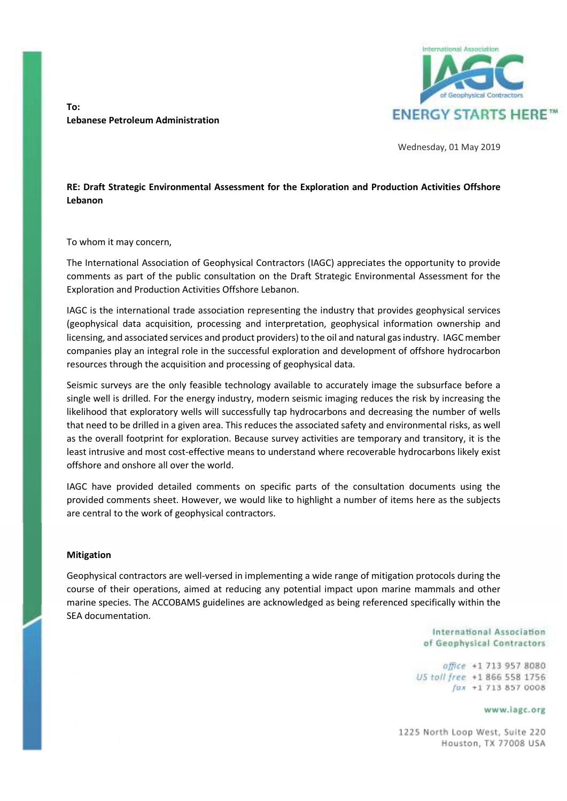**To: Lebanese Petroleum Administration** 



Wednesday, 01 May 2019

### **RE: Draft Strategic Environmental Assessment for the Exploration and Production Activities Offshore Lebanon**

To whom it may concern,

The International Association of Geophysical Contractors (IAGC) appreciates the opportunity to provide comments as part of the public consultation on the Draft Strategic Environmental Assessment for the Exploration and Production Activities Offshore Lebanon.

IAGC is the international trade association representing the industry that provides geophysical services (geophysical data acquisition, processing and interpretation, geophysical information ownership and licensing, and associated services and product providers) to the oil and natural gas industry. IAGC member companies play an integral role in the successful exploration and development of offshore hydrocarbon resources through the acquisition and processing of geophysical data.

Seismic surveys are the only feasible technology available to accurately image the subsurface before a single well is drilled. For the energy industry, modern seismic imaging reduces the risk by increasing the likelihood that exploratory wells will successfully tap hydrocarbons and decreasing the number of wells that need to be drilled in a given area. This reduces the associated safety and environmental risks, as well as the overall footprint for exploration. Because survey activities are temporary and transitory, it is the least intrusive and most cost-effective means to understand where recoverable hydrocarbons likely exist offshore and onshore all over the world.

IAGC have provided detailed comments on specific parts of the consultation documents using the provided comments sheet. However, we would like to highlight a number of items here as the subjects are central to the work of geophysical contractors.

#### **Mitigation**

Geophysical contractors are well-versed in implementing a wide range of mitigation protocols during the course of their operations, aimed at reducing any potential impact upon marine mammals and other marine species. The ACCOBAMS guidelines are acknowledged as being referenced specifically within the SEA documentation.

> International Association of Geophysical Contractors

office +1 713 957 8080 US toll free +1 866 558 1756  $fax + 17138570008$ 

www.iagc.org

1225 North Loop West, Suite 220 Houston, TX 77008 USA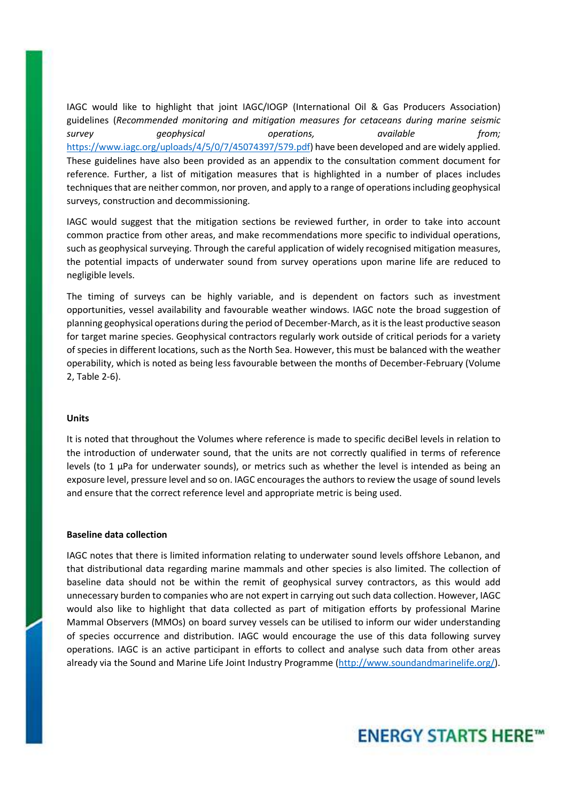IAGC would like to highlight that joint IAGC/IOGP (International Oil & Gas Producers Association) guidelines (*Recommended monitoring and mitigation measures for cetaceans during marine seismic survey geophysical operations, available from;*  https://www.iagc.org/uploads/4/5/0/7/45074397/579.pdf) have been developed and are widely applied. These guidelines have also been provided as an appendix to the consultation comment document for reference. Further, a list of mitigation measures that is highlighted in a number of places includes techniques that are neither common, nor proven, and apply to a range of operations including geophysical surveys, construction and decommissioning.

IAGC would suggest that the mitigation sections be reviewed further, in order to take into account common practice from other areas, and make recommendations more specific to individual operations, such as geophysical surveying. Through the careful application of widely recognised mitigation measures, the potential impacts of underwater sound from survey operations upon marine life are reduced to negligible levels.

The timing of surveys can be highly variable, and is dependent on factors such as investment opportunities, vessel availability and favourable weather windows. IAGC note the broad suggestion of planning geophysical operations during the period of December-March, as it is the least productive season for target marine species. Geophysical contractors regularly work outside of critical periods for a variety of species in different locations, such as the North Sea. However, this must be balanced with the weather operability, which is noted as being less favourable between the months of December-February (Volume 2, Table 2-6).

#### **Units**

It is noted that throughout the Volumes where reference is made to specific deciBel levels in relation to the introduction of underwater sound, that the units are not correctly qualified in terms of reference levels (to 1 μPa for underwater sounds), or metrics such as whether the level is intended as being an exposure level, pressure level and so on. IAGC encourages the authors to review the usage of sound levels and ensure that the correct reference level and appropriate metric is being used.

#### **Baseline data collection**

IAGC notes that there is limited information relating to underwater sound levels offshore Lebanon, and that distributional data regarding marine mammals and other species is also limited. The collection of baseline data should not be within the remit of geophysical survey contractors, as this would add unnecessary burden to companies who are not expert in carrying out such data collection. However, IAGC would also like to highlight that data collected as part of mitigation efforts by professional Marine Mammal Observers (MMOs) on board survey vessels can be utilised to inform our wider understanding of species occurrence and distribution. IAGC would encourage the use of this data following survey operations. IAGC is an active participant in efforts to collect and analyse such data from other areas already via the Sound and Marine Life Joint Industry Programme (http://www.soundandmarinelife.org/).

# **ENERGY STARTS HERE™**